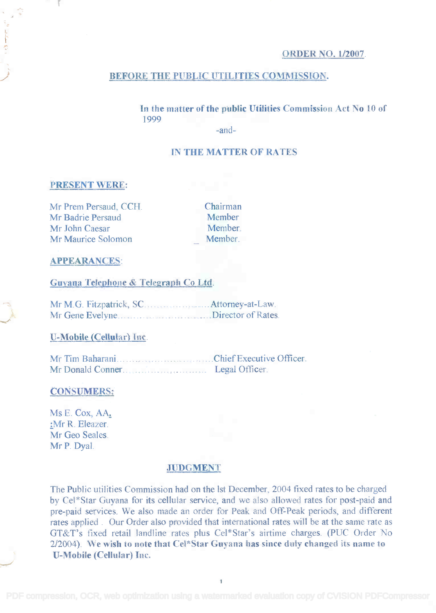# ORDER NO. 1/2007.

#### BEFORE THE PUBLIC UTILITIES COMMISSION.

In the matter of the public Utilities Commission Act No 10 of **In the matter ofthe public Utilities Commission Act No 10 of** 1999 1999

-and-

# IN THE MATTER OF RATES

### PRESENT WERE:

Mr Prem Persaud, CCH. Chairman Mr Prem Persaud, CCH. Mr Badrie Persaud Member Mr Badrie Persaud Mr John Caesar Member. Mr Maurice Solomon Member.

Chairman Member Member. Member.

### APPEARANCES:

### Guyana Telephone & Telegraph Co Ltd.

**14. In M. G. Fitzpatrick, SC. Attorney-at-Law.** Mr Gene Evelyne.............................Director of Rates.

#### U-Mobile (Cellular) Inc.

Mr Tim Baharani Chief Executive Officer. Mr Donald Conner.

#### CONSUMERS;

Ms E. Cox, AA, Ms E. Cox, AA: :Mr R. Eleazer. ;Mr R. Eleazer. Mr Geo Seales. Mr P. Dyal. MrP. Dyal.

#### JUDGMENT

The Public utilities Commission had on the 1st December, 2004 fixed rates to be charged by Cel\*Star Guyana for its cellular service, and we also allowed rates for post-paid and by CeI\*Star Guyana for its cellular service, and we also allowed rates for post-paid and pre-paid services. We also made an order for Peak and Off-Peak periods, and different pre-paid services. We also made an order for Peak and Off-Peak periods, and different rates applied . Our Order also provided that international rates will be at the same rate as rates applied. Our Order also provided that international rates will be at the same rate as GT&T's fixed retail landline rates plus Cel\*Star's airtime charges. (PUC Order No GT&T's fixed retail landline rates plus Cel\*Star's airtime charges. (pUC Order No 2/2004). We wish to note that Cel\*Star Guyana has since duly changed its name to U-Mobile (Cellular) Inc. **U-Mobile (Cellular) Inc.**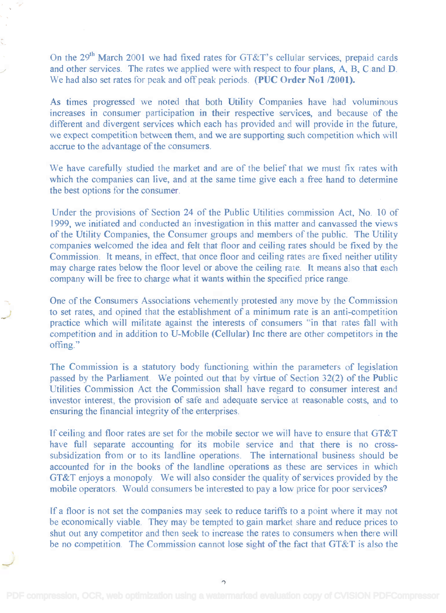On the  $29<sup>th</sup>$  March 2001 we had fixed rates for GT&T's cellular services, prepaid cards and other services. The rates we applied were with respect to four plans, A, B, C and D. and other services. The rates we applied were with respect to four plans, A, B, C and D. We had also set rates for peak and off peak periods. **(PUC Order No1 /2001).** 

As times progressed we noted that both Utility Companies have had voluminous As times progressed we noted that both Utility Companies have had voluminous increases in consumer participation in their respective services, and because of the increases in consumer participation in their respective services, and because of the different and divergent services which each has provided and will provide in the future, different and divergent services which each has provided and will provide in the future, we expect competition between them, and we are supporting such competition which will accrue to the advantage of the consumers. accrue to the advantage of the consumers.

We have carefully studied the market and are of the belief that we must fix rates with We have carefully studied the market and are of the belief that we must fix rates with which the companies can live, and at the same time give each a free hand to determine which the companies can live, and at the same time give each a free hand to determine the best options for the consumer. the best options for the consumer.

Under the provisions of Section 24 of the Public Utilities commission Act, No. 10 of Under the provisions of Section 24 of the Public Utilities commission Act, No. 10 of 1999, we initiated and conducted an investigation in this matter and canvassed the views 1999, we initiated and conducted an investigation in this matter and canvassed the views of the Utility Companies, the Consumer groups and members of the public. The Utility companies welcomed the idea and felt that floor and ceiling rates should be fixed by the companies welcomed the idea and felt that floor and ceiling rates should be fixed by the Commission. It means, in effect, that once floor and ceiling rates are fixed neither utility Commission. It means, in effect, that once floor and ceiling rates are fixed neither utility may charge rates below the floor level or above the ceiling rate. It means also that each may charge rates below the floor level or above the ceiling rate. It means also that each company will be free to charge what it wants within the specified price range. company will be free to charge what it wants within the specified price range.

One of the Consumers Associations vehemently protested any move by the Commission One of the Consumers Associations vehemently protested any move by the Commission to set rates, and opined that the establishment of a minimum rate is an anti-competition to set rates, and opined that the establishment of a minimum rate is an anti-competition practice which will militate against the interests of consumers "in that rates fall with practice which will militate against the interests of consumers "in that rates fall with competition and in addition to U- Mobile (Cellular) Inc there are other competitors in the competition and in addition to U-Moblle (Cellular) lnc there are other competitors in the offing." offing."

The Commission is a statutory body functioning within the parameters of legislation The Commission is a statutory body functioning within the parameters of legislation passed by the Parliament. We pointed out that by virtue of Section 32(2) of the Public passed by the Parliament. We pointed out that by virtue of Section 32(2) of the Public Utilities Commission Act the Commission shall have regard to consumer interest and Utilities Commission Act the Commission shall have regard to consumer interest and investor interest, the provision of safe and adequate service at reasonable costs, and to investor interest, the provision of safe and adequate service at reasonable costs, and to ensuring the financial integrity of the enterprises. ensuring the financial integrity of the enterprises.

If ceiling and floor rates are set for the mobile sector we will have to ensure that GT&T If ceiling and floor rates are set for the mobile sector we will have to ensure that GT&T have full separate accounting for its mobile service and that there is no cross-have full separate accounting for its mobile service and that there is no crosssubsidization from or to its landline operations. The international business should be accounted for in the books of the landline operations as these are services in which GT&T enjoys a monopoly. We will also consider the quality of services provided by the GT&T enjoys a monopoly. We will also consider the quality of services provided by the mobile operators. Would consumers be interested to pay a low price for poor services? mobile operators. Would consumers be interested to pay a low price for poor services?

If a floor is not set the companies may seek to reduce tariffs to a point where it may not If a floor is not set the companies may seek to reduce tariffs to a point where it may not be economically viable. They may be tempted to gain market share and reduce prices to be economically viable. They may be tempted to gain market share and reduce prices to shut out any competitor and then seek to increase the rates to consumers when there will shut out any competitor and then seek to increase the rates to consumers when there will be no competition. The Commission cannot lose sight of the fact that GT&T is also the be no competition. The Commission cannot lose sight of the fact that GT&T is also the

 $\sim$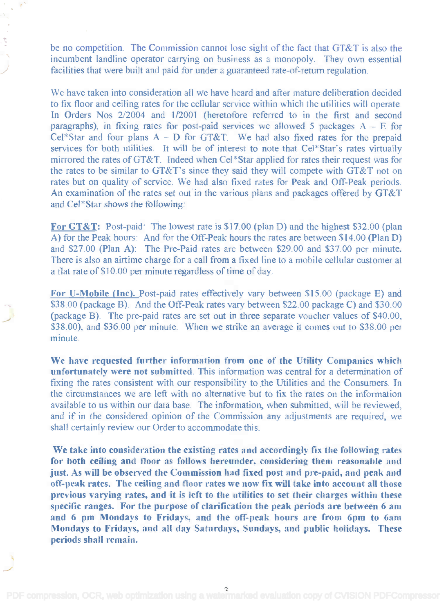be no competition. The Commission cannot lose sight of the fact that GT&T is also the be no competition. The Commission cannot lose sight of the fact that GT&T is also the incumbent landline operator carrying on business as a monopoly. They own essential incumbent landline operator carrying on business as a monopoly. They own essential facilities that were built and paid for under a guaranteed rate-of-return regulation. facilities that were built and paid for under a guaranteed rate-of-return regulation.

We have taken into consideration all we have heard and after mature deliberation decided We have taken into consideration all we have heard and after mature deliberation decided to fix floor and ceiling rates for the cellular service within which the utilities will operate. In Orders Nos 2/2004 and 1/2001 (heretofore referred to in the first and second paragraphs), in fixing rates for post-paid services we allowed 5 packages  $A - E$  for Cel\*Star and four plans  $A - D$  for GT&T. We had also fixed rates for the prepaid services for both utilities. It will be of interest to note that Cel\*Star's rates virtually services for both utilities. It will be of interest to note that Cel\*Star's rates virtually mirrored the rates of GT&T. Indeed when Cel\*Star applied for rates their request was for mirrored the rates ofGT&T. Indeed when CeI\*Star applied for rates their request was for the rates to be similar to GT&T's since they said they will compete with GT&T not on rates but on quality of service. We had also fixed rates for Peak and Off-Peak periods. rates but on quality of service. We had also fixed rates for Peak and Off-Peak periods. An examination of the rates set out in the various plans and packages offered by GT&T An examination of the rates set out in the various plans and packages offered by GT&T and Cel\*Star shows the following: and Cel\*Star shows the foJlowing:

For GT&T: Post-paid: The lowest rate is \$17.00 (plan D) and the highest \$32.00 (plan A) for the Peak hours: And for the Off-Peak hours the rates are between \$14.00 (Plan D) A) for the Peak hours: And for the Off-Peak hours the rates are between \$14.00 (plan D) and \$27.00 (Plan A): The Pre-Paid rates are between \$29.00 and \$37.00 per minute. and \$27.00 (Plan A): The Pre-Paid rates are between \$29.00 and \$37.00 per minute. There is also an airtime charge for a call from a fixed line to a mobile cellular customer at There is also an airtime charge for a call from a fixed line to a mobile cellular customer at a flat rate of \$10.00 per minute regardless of time of day. a flat rate of \$10.00 per minute regardless of time of day.

For U-Mobile (Inc). Post-paid rates effectively vary between \$15.00 (package E) and \$38.00 (package B). And the Off-Peak rates vary between \$22.00 package C) and \$30.00 \$38.00 (package B). And the Off-Peak rates vary between \$22.00 package C) and \$30.00 (package B). The pre-paid rates are set out in three separate voucher values of \$40.00, (package B). The pre-paid rates are set out in three separate voucher values of \$40.00, \$38.00), and \$36.00 per minute. When we strike an average it comes out to \$38.00 per minute. minute.

We have requested further information from one of the Utility Companies which We have requested further information from one of the Utility Companies which unfortunately were not submitted. This information was central for a determination of fixing the rates consistent with our responsibility to the Utilities and the Consumers. In the circumstances we are left with no alternative but to fix the rates on the information the circumstances we are left with no alternative but to fix the rates on the information available to us within our data base. The information, when submitted, will be reviewed, available to us within our data base. The information, when submitted, will be reviewed, and if in the considered opinion of the Commission any adjustments are required, we and if in the considered opinion of the Commission any adjustments are required, we shall certainly review our Order to accommodate this.

We take into consideration the existing rates and accordingly fix the following rates We take into consideration the existing rates and accordingly fix the following rates for both ceiling and floor as follows hereunder, considering them reasonable and just. As will be observed the Commission had fixed post and pre-paid, and peak and just. As will be observed the Commission had fixed post and pre-paid, and peak and off -peak rates. The ceiling and floor rates we now fix will take into account all those off-peak rates. The ceiling and floor rates we now fix will take into account all those previous varying rates, and it is left to the utilities to set their charges within these previous varying rates, and it is left to the utilities to set their charges within these specific ranges. For the purpose of clarification the peak periods are between 6 am specific ranges. For the purpose of clarification the peak periods are between 6 am and 6 pm Mondays to Fridays, and the off-peak hours are from 6pm to 6am and 6 pm Mondays to Fridays, and the ofT-peak hours are from 6pm to 6am Mondays to Fridays, and all day Saturdays, Sundays, and public holidays. These Mondays to Fridays, and all day Saturdays, Sundays, and public holidays. These periods shall remain. periods shall remain.